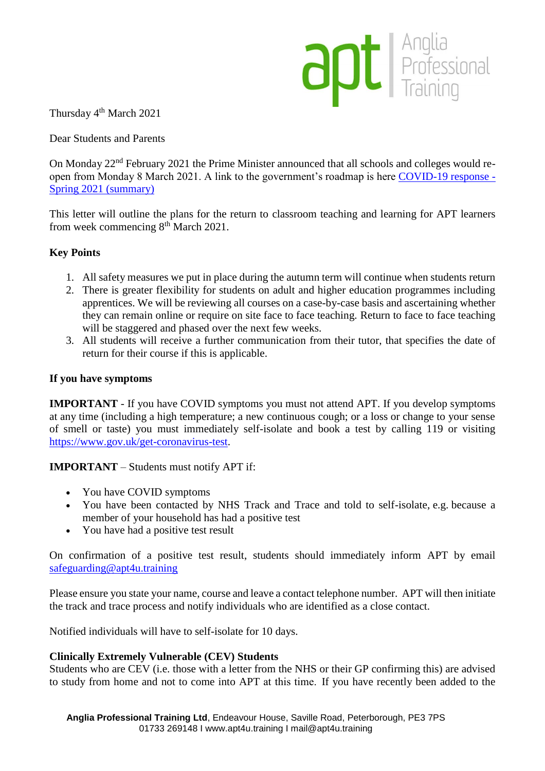

Thursday 4<sup>th</sup> March 2021

Dear Students and Parents

On Monday 22nd February 2021 the Prime Minister announced that all schools and colleges would reopen from Monday 8 March 2021. A link to the government's roadmap is here [COVID-19 response -](https://www.gov.uk/government/publications/covid-19-response-spring-2021/covid-19-response-spring-2021-summary) [Spring 2021 \(summary\)](https://www.gov.uk/government/publications/covid-19-response-spring-2021/covid-19-response-spring-2021-summary) 

This letter will outline the plans for the return to classroom teaching and learning for APT learners from week commencing  $8<sup>th</sup>$  March 2021.

# **Key Points**

- 1. All safety measures we put in place during the autumn term will continue when students return
- 2. There is greater flexibility for students on adult and higher education programmes including apprentices. We will be reviewing all courses on a case-by-case basis and ascertaining whether they can remain online or require on site face to face teaching. Return to face to face teaching will be staggered and phased over the next few weeks.
- 3. All students will receive a further communication from their tutor, that specifies the date of return for their course if this is applicable.

### **If you have symptoms**

**IMPORTANT** - If you have COVID symptoms you must not attend APT. If you develop symptoms at any time (including a high temperature; a new continuous cough; or a loss or change to your sense of smell or taste) you must immediately self-isolate and book a test by calling 119 or visiting [https://www.gov.uk/get-coronavirus-test.](https://www.gov.uk/get-coronavirus-test)

**IMPORTANT** – Students must notify APT if:

- You have COVID symptoms
- You have been contacted by NHS Track and Trace and told to self-isolate, e.g. because a member of your household has had a positive test
- You have had a positive test result

On confirmation of a positive test result, students should immediately inform APT by email [safeguarding@apt4u.training](mailto:safeguarding@apt4u.training)

Please ensure you state your name, course and leave a contact telephone number. APT will then initiate the track and trace process and notify individuals who are identified as a close contact.

Notified individuals will have to self-isolate for 10 days.

### **Clinically Extremely Vulnerable (CEV) Students**

Students who are CEV (i.e. those with a letter from the NHS or their GP confirming this) are advised to study from home and not to come into APT at this time.  If you have recently been added to the